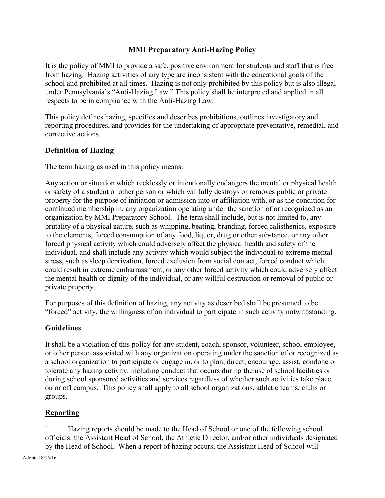## **MMI Preparatory Anti-Hazing Policy**

It is the policy of MMI to provide a safe, positive environment for students and staff that is free from hazing. Hazing activities of any type are inconsistent with the educational goals of the school and prohibited at all times. Hazing is not only prohibited by this policy but is also illegal under Pennsylvania's "Anti-Hazing Law." This policy shall be interpreted and applied in all respects to be in compliance with the Anti-Hazing Law.

This policy defines hazing, specifies and describes prohibitions, outlines investigatory and reporting procedures, and provides for the undertaking of appropriate preventative, remedial, and corrective actions.

#### **Definition of Hazing**

The term hazing as used in this policy means:

Any action or situation which recklessly or intentionally endangers the mental or physical health or safety of a student or other person or which willfully destroys or removes public or private property for the purpose of initiation or admission into or affiliation with, or as the condition for continued membership in, any organization operating under the sanction of or recognized as an organization by MMI Preparatory School. The term shall include, but is not limited to, any brutality of a physical nature, such as whipping, beating, branding, forced calisthenics, exposure to the elements, forced consumption of any food, liquor, drug or other substance, or any other forced physical activity which could adversely affect the physical health and safety of the individual, and shall include any activity which would subject the individual to extreme mental stress, such as sleep deprivation, forced exclusion from social contact, forced conduct which could result in extreme embarrassment, or any other forced activity which could adversely affect the mental health or dignity of the individual, or any willful destruction or removal of public or private property.

For purposes of this definition of hazing, any activity as described shall be presumed to be "forced" activity, the willingness of an individual to participate in such activity notwithstanding.

#### **Guidelines**

It shall be a violation of this policy for any student, coach, sponsor, volunteer, school employee, or other person associated with any organization operating under the sanction of or recognized as a school organization to participate or engage in, or to plan, direct, encourage, assist, condone or tolerate any hazing activity, including conduct that occurs during the use of school facilities or during school sponsored activities and services regardless of whether such activities take place on or off campus. This policy shall apply to all school organizations, athletic teams, clubs or groups.

## **Reporting**

1. Hazing reports should be made to the Head of School or one of the following school officials: the Assistant Head of School, the Athletic Director, and/or other individuals designated by the Head of School. When a report of hazing occurs, the Assistant Head of School will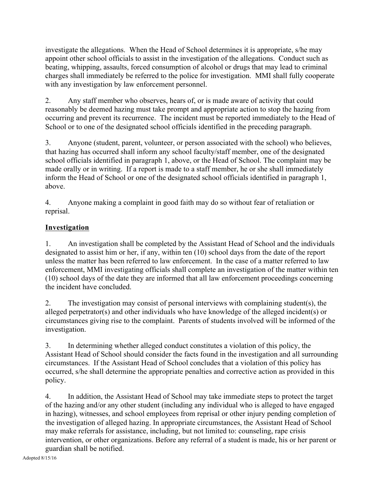investigate the allegations. When the Head of School determines it is appropriate, s/he may appoint other school officials to assist in the investigation of the allegations. Conduct such as beating, whipping, assaults, forced consumption of alcohol or drugs that may lead to criminal charges shall immediately be referred to the police for investigation. MMI shall fully cooperate with any investigation by law enforcement personnel.

2. Any staff member who observes, hears of, or is made aware of activity that could reasonably be deemed hazing must take prompt and appropriate action to stop the hazing from occurring and prevent its recurrence. The incident must be reported immediately to the Head of School or to one of the designated school officials identified in the preceding paragraph.

3. Anyone (student, parent, volunteer, or person associated with the school) who believes, that hazing has occurred shall inform any school faculty/staff member, one of the designated school officials identified in paragraph 1, above, or the Head of School. The complaint may be made orally or in writing. If a report is made to a staff member, he or she shall immediately inform the Head of School or one of the designated school officials identified in paragraph 1, above.

4. Anyone making a complaint in good faith may do so without fear of retaliation or reprisal.

# **Investigation**

1. An investigation shall be completed by the Assistant Head of School and the individuals designated to assist him or her, if any, within ten (10) school days from the date of the report unless the matter has been referred to law enforcement. In the case of a matter referred to law enforcement, MMI investigating officials shall complete an investigation of the matter within ten (10) school days of the date they are informed that all law enforcement proceedings concerning the incident have concluded.

2. The investigation may consist of personal interviews with complaining student(s), the alleged perpetrator(s) and other individuals who have knowledge of the alleged incident(s) or circumstances giving rise to the complaint. Parents of students involved will be informed of the investigation.

3. In determining whether alleged conduct constitutes a violation of this policy, the Assistant Head of School should consider the facts found in the investigation and all surrounding circumstances. If the Assistant Head of School concludes that a violation of this policy has occurred, s/he shall determine the appropriate penalties and corrective action as provided in this policy.

4. In addition, the Assistant Head of School may take immediate steps to protect the target of the hazing and/or any other student (including any individual who is alleged to have engaged in hazing), witnesses, and school employees from reprisal or other injury pending completion of the investigation of alleged hazing. In appropriate circumstances, the Assistant Head of School may make referrals for assistance, including, but not limited to: counseling, rape crisis intervention, or other organizations. Before any referral of a student is made, his or her parent or guardian shall be notified.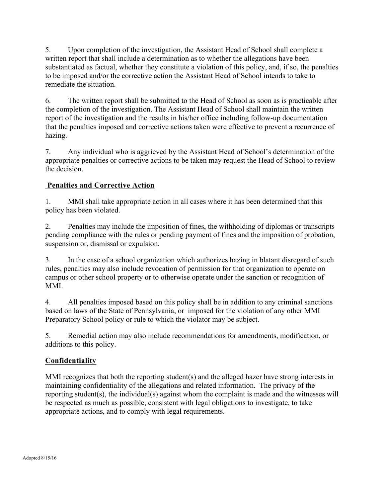5. Upon completion of the investigation, the Assistant Head of School shall complete a written report that shall include a determination as to whether the allegations have been substantiated as factual, whether they constitute a violation of this policy, and, if so, the penalties to be imposed and/or the corrective action the Assistant Head of School intends to take to remediate the situation.

6. The written report shall be submitted to the Head of School as soon as is practicable after the completion of the investigation. The Assistant Head of School shall maintain the written report of the investigation and the results in his/her office including follow-up documentation that the penalties imposed and corrective actions taken were effective to prevent a recurrence of hazing.

7. Any individual who is aggrieved by the Assistant Head of School's determination of the appropriate penalties or corrective actions to be taken may request the Head of School to review the decision.

# **Penalties and Corrective Action**

1. MMI shall take appropriate action in all cases where it has been determined that this policy has been violated.

2. Penalties may include the imposition of fines, the withholding of diplomas or transcripts pending compliance with the rules or pending payment of fines and the imposition of probation, suspension or, dismissal or expulsion.

3. In the case of a school organization which authorizes hazing in blatant disregard of such rules, penalties may also include revocation of permission for that organization to operate on campus or other school property or to otherwise operate under the sanction or recognition of MMI.

4. All penalties imposed based on this policy shall be in addition to any criminal sanctions based on laws of the State of Pennsylvania, or imposed for the violation of any other MMI Preparatory School policy or rule to which the violator may be subject.

5. Remedial action may also include recommendations for amendments, modification, or additions to this policy.

## **Confidentiality**

MMI recognizes that both the reporting student(s) and the alleged hazer have strong interests in maintaining confidentiality of the allegations and related information. The privacy of the reporting student(s), the individual(s) against whom the complaint is made and the witnesses will be respected as much as possible, consistent with legal obligations to investigate, to take appropriate actions, and to comply with legal requirements.